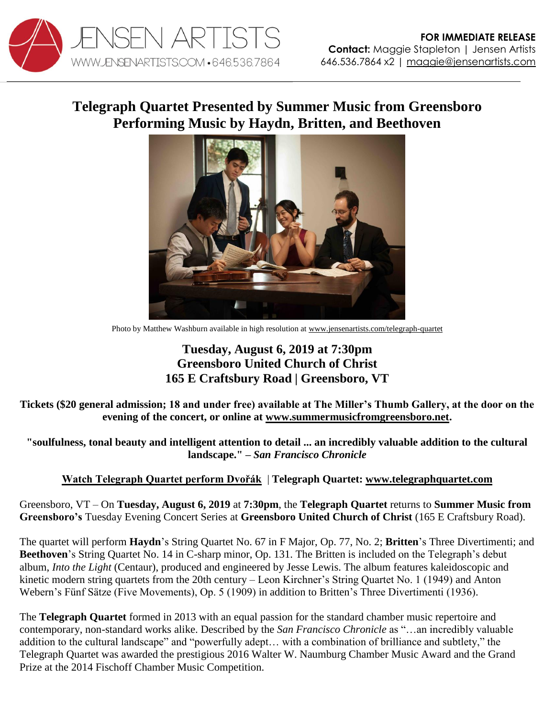

## **Telegraph Quartet Presented by Summer Music from Greensboro Performing Music by Haydn, Britten, and Beethoven**



Photo by Matthew Washburn available in high resolution a[t www.jensenartists.com/telegraph-quartet](http://www.jensenartists.com/telegraph-quartet)

## **Tuesday, August 6, 2019 at 7:30pm Greensboro United Church of Christ 165 E Craftsbury Road | Greensboro, VT**

**Tickets (\$20 general admission; 18 and under free) available at The Miller's Thumb Gallery, at the door on the evening of the concert, or online at [www.summermusicfromgreensboro.net.](https://www.summermusicfromgreensboro.net/telegraph-quartet/)** 

**"soulfulness, tonal beauty and intelligent attention to detail ... an incredibly valuable addition to the cultural landscape." –** *San Francisco Chronicle*

**[Watch Telegraph Quartet perform Dvořák](https://youtu.be/dgI4xUcPUZ8)** | **Telegraph Quartet: [www.telegraphquartet.com](http://www.telegraphquartet.com/)** 

Greensboro, VT – On **Tuesday, August 6, 2019** at **7:30pm**, the **Telegraph Quartet** returns to **Summer Music from Greensboro's** Tuesday Evening Concert Series at **Greensboro United Church of Christ** (165 E Craftsbury Road).

The quartet will perform **Haydn**'s String Quartet No. 67 in F Major, Op. 77, No. 2; **Britten**'s Three Divertimenti; and **Beethoven**'s String Quartet No. 14 in C-sharp minor, Op. 131. The Britten is included on the Telegraph's debut album, *Into the Light* (Centaur), produced and engineered by Jesse Lewis. The album features kaleidoscopic and kinetic modern string quartets from the 20th century – Leon Kirchner's String Quartet No. 1 (1949) and Anton Webern's Fünf Sätze (Five Movements), Op. 5 (1909) in addition to Britten's Three Divertimenti (1936).

The **Telegraph Quartet** formed in 2013 with an equal passion for the standard chamber music repertoire and contemporary, non-standard works alike. Described by the *San Francisco Chronicle* as "…an incredibly valuable addition to the cultural landscape" and "powerfully adept… with a combination of brilliance and subtlety," the Telegraph Quartet was awarded the prestigious 2016 Walter W. Naumburg Chamber Music Award and the Grand Prize at the 2014 Fischoff Chamber Music Competition.